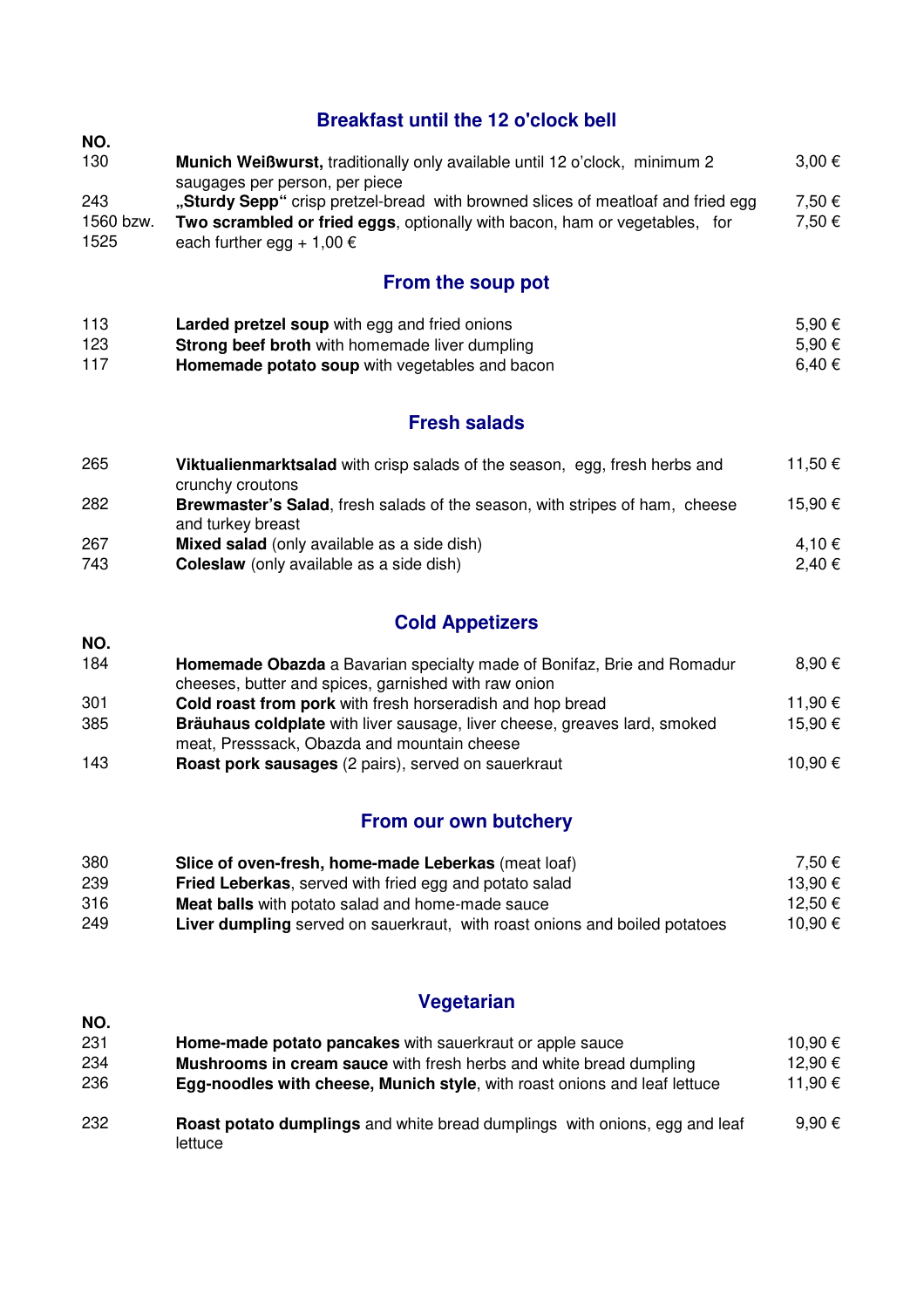# **Breakfast until the 12 o'clock bell**

| NO.               |                                                                                                                  |            |
|-------------------|------------------------------------------------------------------------------------------------------------------|------------|
| 130               | Munich Weißwurst, traditionally only available until 12 o'clock, minimum 2                                       | $3.00 \in$ |
|                   | saugages per person, per piece                                                                                   |            |
| 243               | "Sturdy Sepp" crisp pretzel-bread with browned slices of meatloaf and fried egg                                  | 7.50 €     |
| 1560 bzw.<br>1525 | Two scrambled or fried eggs, optionally with bacon, ham or vegetables, for<br>each further egg + 1,00 $\epsilon$ | 7,50 €     |

## **From the soup pot**

| 113 | <b>Larded pretzel soup</b> with egg and fried onions  | 5.90 € |
|-----|-------------------------------------------------------|--------|
| 123 | <b>Strong beef broth</b> with homemade liver dumpling | 5.90 € |
| 117 | Homemade potato soup with vegetables and bacon        | 6.40 € |

## **Fresh salads**

| 265 | Viktualienmarktsalad with crisp salads of the season, egg, fresh herbs and<br>crunchy croutons   | 11,50 € |
|-----|--------------------------------------------------------------------------------------------------|---------|
| 282 | Brewmaster's Salad, fresh salads of the season, with stripes of ham, cheese<br>and turkey breast | 15,90 € |
| 267 | <b>Mixed salad</b> (only available as a side dish)                                               | 4.10 €  |
| 743 | <b>Coleslaw</b> (only available as a side dish)                                                  | 2,40 €  |

# **Cold Appetizers**

**NO.** 

**NO.** 

| 184 | <b>Homemade Obazda</b> a Bavarian specialty made of Bonifaz, Brie and Romadur<br>cheeses, butter and spices, garnished with raw onion | $8.90 \epsilon$ |
|-----|---------------------------------------------------------------------------------------------------------------------------------------|-----------------|
| 301 | Cold roast from pork with fresh horseradish and hop bread                                                                             | 11,90 €         |
| 385 | Bräuhaus coldplate with liver sausage, liver cheese, greaves lard, smoked                                                             | 15,90 €         |
|     | meat, Presssack, Obazda and mountain cheese                                                                                           |                 |
| 143 | <b>Roast pork sausages</b> (2 pairs), served on sauerkraut                                                                            | 10,90 €         |

# **From our own butchery**

| 380 | Slice of oven-fresh, home-made Leberkas (meat loaf)                               | 7.50 €  |
|-----|-----------------------------------------------------------------------------------|---------|
| 239 | <b>Fried Leberkas, served with fried egg and potato salad</b>                     | 13.90 € |
| 316 | <b>Meat balls</b> with potato salad and home-made sauce                           | 12,50 € |
| 249 | <b>Liver dumpling</b> served on sauerkraut, with roast onions and boiled potatoes | 10.90 € |

# **Vegetarian**

| 231 | Home-made potato pancakes with sauerkraut or apple sauce                                     | 10,90 € |
|-----|----------------------------------------------------------------------------------------------|---------|
| 234 | <b>Mushrooms in cream sauce</b> with fresh herbs and white bread dumpling                    | 12,90 € |
| 236 | <b>Egg-noodles with cheese, Munich style, with roast onions and leaf lettuce</b>             | 11,90 € |
| 232 | <b>Roast potato dumplings</b> and white bread dumplings with onions, egg and leaf<br>lettuce | 9.90 €  |